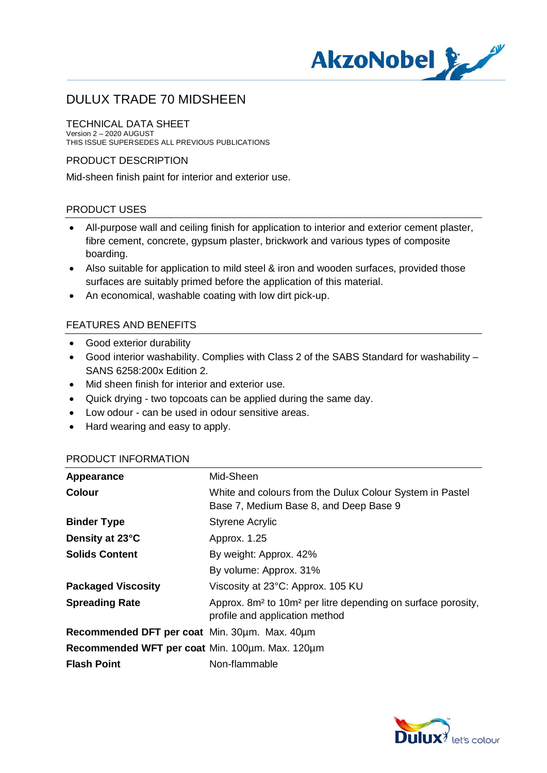

#### TECHNICAL DATA SHEET

Version 2 – 2020 AUGUST THIS ISSUE SUPERSEDES ALL PREVIOUS PUBLICATIONS

### PRODUCT DESCRIPTION

Mid-sheen finish paint for interior and exterior use.

### PRODUCT USES

- · All-purpose wall and ceiling finish for application to interior and exterior cement plaster, fibre cement, concrete, gypsum plaster, brickwork and various types of composite boarding.
- Also suitable for application to mild steel & iron and wooden surfaces, provided those surfaces are suitably primed before the application of this material.
- · An economical, washable coating with low dirt pick-up.

## FEATURES AND BENEFITS

- · Good exterior durability
- · Good interior washability. Complies with Class 2 of the SABS Standard for washability SANS 6258:200x Edition 2.
- · Mid sheen finish for interior and exterior use.
- · Quick drying two topcoats can be applied during the same day.
- · Low odour can be used in odour sensitive areas.
- · Hard wearing and easy to apply.

### PRODUCT INFORMATION

| Appearance                                      | Mid-Sheen                                                                                                              |
|-------------------------------------------------|------------------------------------------------------------------------------------------------------------------------|
| <b>Colour</b>                                   | White and colours from the Dulux Colour System in Pastel<br>Base 7, Medium Base 8, and Deep Base 9                     |
| <b>Binder Type</b>                              | <b>Styrene Acrylic</b>                                                                                                 |
| Density at 23°C                                 | Approx. 1.25                                                                                                           |
| <b>Solids Content</b>                           | By weight: Approx. 42%                                                                                                 |
|                                                 | By volume: Approx. 31%                                                                                                 |
| <b>Packaged Viscosity</b>                       | Viscosity at 23°C: Approx. 105 KU                                                                                      |
| <b>Spreading Rate</b>                           | Approx. 8m <sup>2</sup> to 10m <sup>2</sup> per litre depending on surface porosity,<br>profile and application method |
| Recommended DFT per coat Min. 30um. Max. 40um   |                                                                                                                        |
| Recommended WFT per coat Min. 100um. Max. 120um |                                                                                                                        |
| <b>Flash Point</b>                              | Non-flammable                                                                                                          |

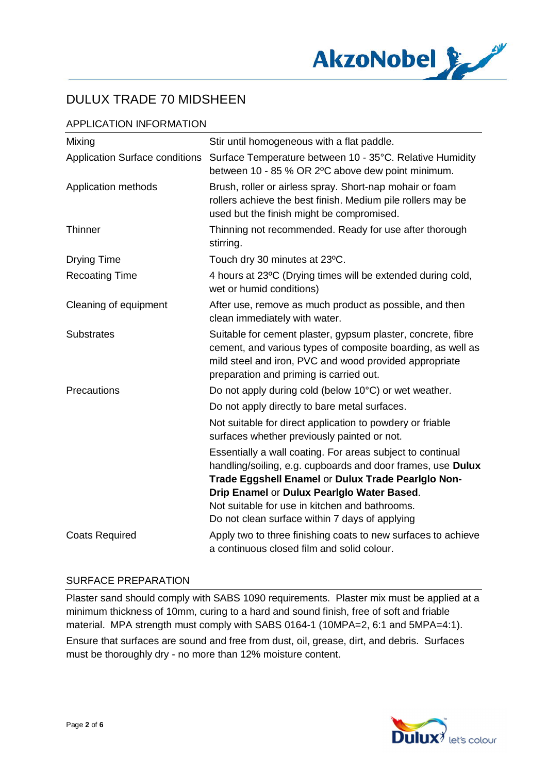

# APPLICATION INFORMATION

| Mixing                                | Stir until homogeneous with a flat paddle.                                                                                                                                                                                                                                      |
|---------------------------------------|---------------------------------------------------------------------------------------------------------------------------------------------------------------------------------------------------------------------------------------------------------------------------------|
| <b>Application Surface conditions</b> | Surface Temperature between 10 - 35°C. Relative Humidity<br>between 10 - 85 % OR 2°C above dew point minimum.                                                                                                                                                                   |
| Application methods                   | Brush, roller or airless spray. Short-nap mohair or foam<br>rollers achieve the best finish. Medium pile rollers may be<br>used but the finish might be compromised.                                                                                                            |
| <b>Thinner</b>                        | Thinning not recommended. Ready for use after thorough<br>stirring.                                                                                                                                                                                                             |
| <b>Drying Time</b>                    | Touch dry 30 minutes at 23°C.                                                                                                                                                                                                                                                   |
| <b>Recoating Time</b>                 | 4 hours at 23°C (Drying times will be extended during cold,<br>wet or humid conditions)                                                                                                                                                                                         |
| Cleaning of equipment                 | After use, remove as much product as possible, and then<br>clean immediately with water.                                                                                                                                                                                        |
| <b>Substrates</b>                     | Suitable for cement plaster, gypsum plaster, concrete, fibre<br>cement, and various types of composite boarding, as well as<br>mild steel and iron, PVC and wood provided appropriate<br>preparation and priming is carried out.                                                |
| Precautions                           | Do not apply during cold (below 10°C) or wet weather.                                                                                                                                                                                                                           |
|                                       | Do not apply directly to bare metal surfaces.                                                                                                                                                                                                                                   |
|                                       | Not suitable for direct application to powdery or friable<br>surfaces whether previously painted or not.                                                                                                                                                                        |
|                                       | Essentially a wall coating. For areas subject to continual<br>handling/soiling, e.g. cupboards and door frames, use Dulux<br>Trade Eggshell Enamel or Dulux Trade Pearlglo Non-<br>Drip Enamel or Dulux Pearlglo Water Based.<br>Not suitable for use in kitchen and bathrooms. |
|                                       | Do not clean surface within 7 days of applying                                                                                                                                                                                                                                  |
| <b>Coats Required</b>                 | Apply two to three finishing coats to new surfaces to achieve<br>a continuous closed film and solid colour.                                                                                                                                                                     |

### SURFACE PREPARATION

Plaster sand should comply with SABS 1090 requirements. Plaster mix must be applied at a minimum thickness of 10mm, curing to a hard and sound finish, free of soft and friable material. MPA strength must comply with SABS 0164-1 (10MPA=2, 6:1 and 5MPA=4:1). Ensure that surfaces are sound and free from dust, oil, grease, dirt, and debris. Surfaces must be thoroughly dry - no more than 12% moisture content.

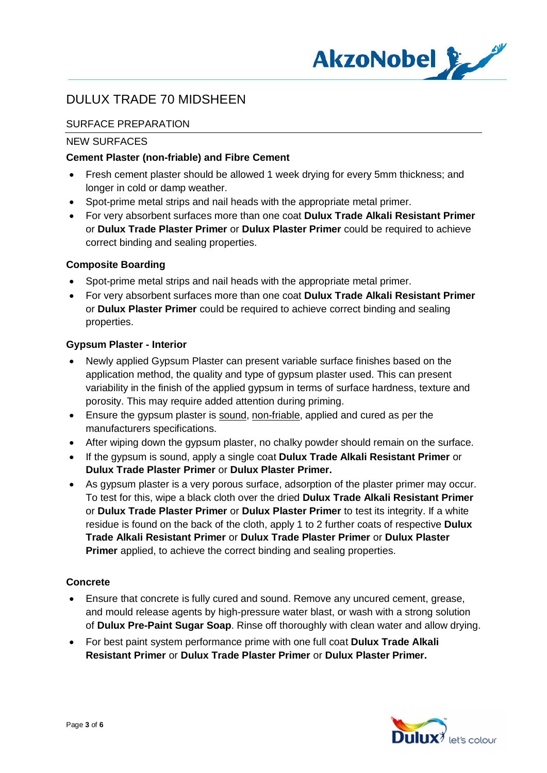

# SURFACE PREPARATION

### NEW SURFACES

## **Cement Plaster (non-friable) and Fibre Cement**

- · Fresh cement plaster should be allowed 1 week drying for every 5mm thickness; and longer in cold or damp weather.
- · Spot-prime metal strips and nail heads with the appropriate metal primer.
- · For very absorbent surfaces more than one coat **Dulux Trade Alkali Resistant Primer** or **Dulux Trade Plaster Primer** or **Dulux Plaster Primer** could be required to achieve correct binding and sealing properties.

## **Composite Boarding**

- Spot-prime metal strips and nail heads with the appropriate metal primer.
- · For very absorbent surfaces more than one coat **Dulux Trade Alkali Resistant Primer** or **Dulux Plaster Primer** could be required to achieve correct binding and sealing properties.

## **Gypsum Plaster - Interior**

- Newly applied Gypsum Plaster can present variable surface finishes based on the application method, the quality and type of gypsum plaster used. This can present variability in the finish of the applied gypsum in terms of surface hardness, texture and porosity. This may require added attention during priming.
- Ensure the gypsum plaster is sound, non-friable, applied and cured as per the manufacturers specifications.
- After wiping down the gypsum plaster, no chalky powder should remain on the surface.
- · If the gypsum is sound, apply a single coat **Dulux Trade Alkali Resistant Primer** or **Dulux Trade Plaster Primer** or **Dulux Plaster Primer.**
- · As gypsum plaster is a very porous surface, adsorption of the plaster primer may occur. To test for this, wipe a black cloth over the dried **Dulux Trade Alkali Resistant Primer** or **Dulux Trade Plaster Primer** or **Dulux Plaster Primer** to test its integrity. If a white residue is found on the back of the cloth, apply 1 to 2 further coats of respective **Dulux Trade Alkali Resistant Primer** or **Dulux Trade Plaster Primer** or **Dulux Plaster Primer** applied, to achieve the correct binding and sealing properties.

### **Concrete**

- · Ensure that concrete is fully cured and sound. Remove any uncured cement, grease, and mould release agents by high-pressure water blast, or wash with a strong solution of **Dulux Pre-Paint Sugar Soap**. Rinse off thoroughly with clean water and allow drying.
- · For best paint system performance prime with one full coat **Dulux Trade Alkali Resistant Primer** or **Dulux Trade Plaster Primer** or **Dulux Plaster Primer.**

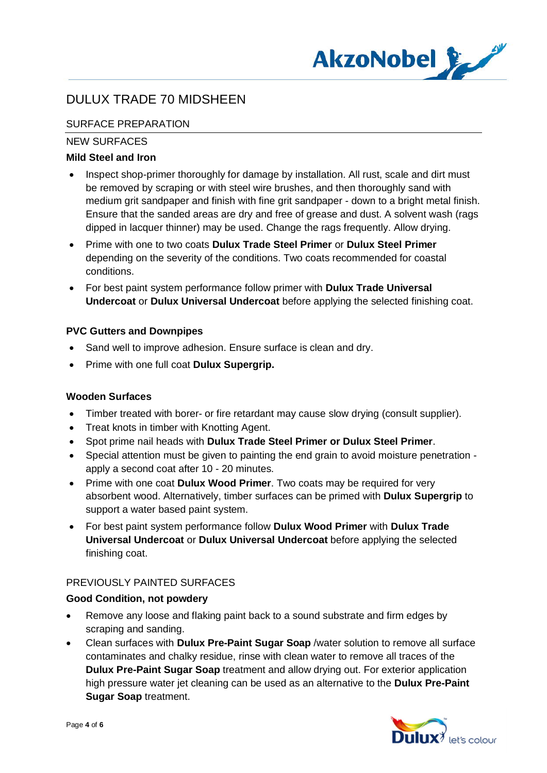

# SURFACE PREPARATION

## NEW SURFACES

## **Mild Steel and Iron**

- Inspect shop-primer thoroughly for damage by installation. All rust, scale and dirt must be removed by scraping or with steel wire brushes, and then thoroughly sand with medium grit sandpaper and finish with fine grit sandpaper - down to a bright metal finish. Ensure that the sanded areas are dry and free of grease and dust. A solvent wash (rags dipped in lacquer thinner) may be used. Change the rags frequently. Allow drying.
- · Prime with one to two coats **Dulux Trade Steel Primer** or **Dulux Steel Primer** depending on the severity of the conditions. Two coats recommended for coastal conditions.
- · For best paint system performance follow primer with **Dulux Trade Universal Undercoat** or **Dulux Universal Undercoat** before applying the selected finishing coat.

## **PVC Gutters and Downpipes**

- Sand well to improve adhesion. Ensure surface is clean and dry.
- · Prime with one full coat **Dulux Supergrip.**

### **Wooden Surfaces**

- · Timber treated with borer- or fire retardant may cause slow drying (consult supplier).
- · Treat knots in timber with Knotting Agent.
- · Spot prime nail heads with **Dulux Trade Steel Primer or Dulux Steel Primer**.
- · Special attention must be given to painting the end grain to avoid moisture penetration apply a second coat after 10 - 20 minutes.
- · Prime with one coat **Dulux Wood Primer**. Two coats may be required for very absorbent wood. Alternatively, timber surfaces can be primed with **Dulux Supergrip** to support a water based paint system.
- · For best paint system performance follow **Dulux Wood Primer** with **Dulux Trade Universal Undercoat** or **Dulux Universal Undercoat** before applying the selected finishing coat.

## PREVIOUSLY PAINTED SURFACES

### **Good Condition, not powdery**

- Remove any loose and flaking paint back to a sound substrate and firm edges by scraping and sanding.
- · Clean surfaces with **Dulux Pre-Paint Sugar Soap** /water solution to remove all surface contaminates and chalky residue, rinse with clean water to remove all traces of the **Dulux Pre-Paint Sugar Soap** treatment and allow drying out. For exterior application high pressure water jet cleaning can be used as an alternative to the **Dulux Pre-Paint Sugar Soap** treatment.

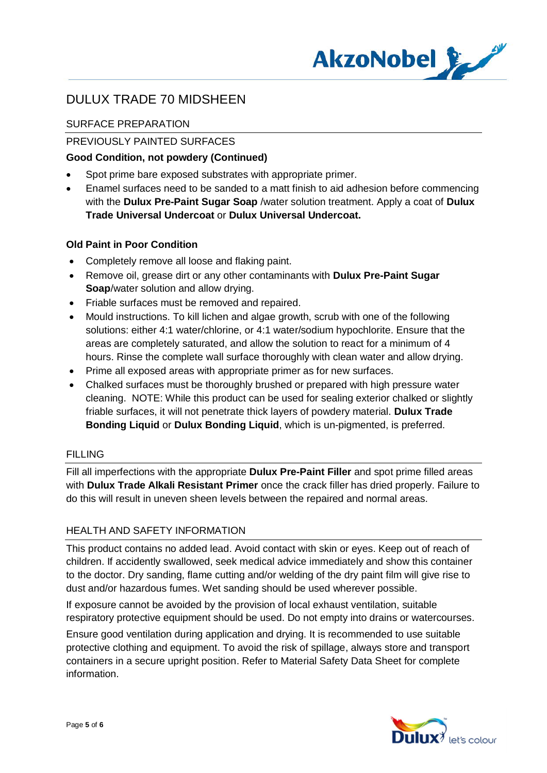

# SURFACE PREPARATION

# PREVIOUSLY PAINTED SURFACES

## **Good Condition, not powdery (Continued)**

- · Spot prime bare exposed substrates with appropriate primer.
- · Enamel surfaces need to be sanded to a matt finish to aid adhesion before commencing with the **Dulux Pre-Paint Sugar Soap** /water solution treatment. Apply a coat of **Dulux Trade Universal Undercoat** or **Dulux Universal Undercoat.**

## **Old Paint in Poor Condition**

- · Completely remove all loose and flaking paint.
- · Remove oil, grease dirt or any other contaminants with **Dulux Pre-Paint Sugar Soap**/water solution and allow drying.
- · Friable surfaces must be removed and repaired.
- · Mould instructions. To kill lichen and algae growth, scrub with one of the following solutions: either 4:1 water/chlorine, or 4:1 water/sodium hypochlorite. Ensure that the areas are completely saturated, and allow the solution to react for a minimum of 4 hours. Rinse the complete wall surface thoroughly with clean water and allow drying.
- · Prime all exposed areas with appropriate primer as for new surfaces.
- · Chalked surfaces must be thoroughly brushed or prepared with high pressure water cleaning. NOTE: While this product can be used for sealing exterior chalked or slightly friable surfaces, it will not penetrate thick layers of powdery material. **Dulux Trade Bonding Liquid** or **Dulux Bonding Liquid**, which is un-pigmented, is preferred.

### FILLING

Fill all imperfections with the appropriate **Dulux Pre-Paint Filler** and spot prime filled areas with **Dulux Trade Alkali Resistant Primer** once the crack filler has dried properly. Failure to do this will result in uneven sheen levels between the repaired and normal areas.

## HEALTH AND SAFETY INFORMATION

This product contains no added lead. Avoid contact with skin or eyes. Keep out of reach of children. If accidently swallowed, seek medical advice immediately and show this container to the doctor. Dry sanding, flame cutting and/or welding of the dry paint film will give rise to dust and/or hazardous fumes. Wet sanding should be used wherever possible.

If exposure cannot be avoided by the provision of local exhaust ventilation, suitable respiratory protective equipment should be used. Do not empty into drains or watercourses.

Ensure good ventilation during application and drying. It is recommended to use suitable protective clothing and equipment. To avoid the risk of spillage, always store and transport containers in a secure upright position. Refer to Material Safety Data Sheet for complete information.